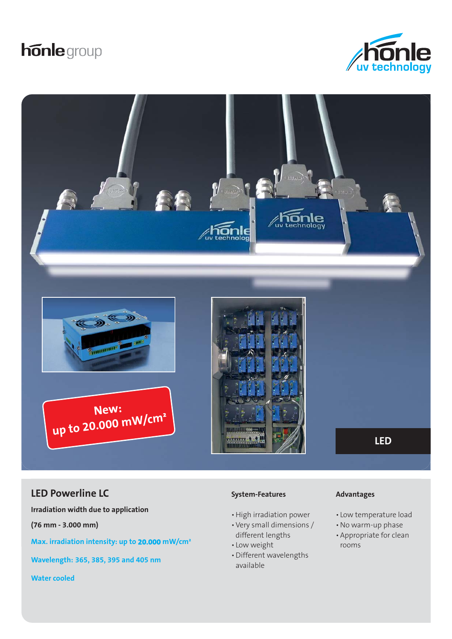# **honle** group





# **LED Powerline LC Advantages Advantages Advantages**

**Irradiation width due to application**

**(76 mm - 3.000 mm)**

**Max. irradiation intensity: up to 20.000 mW/cm²**

**Wavelength: 365, 385, 395 and 405 nm**

**Water cooled**

#### **System-Features**

- High irradiation power
- Very small dimensions / different lengths
- Low weight
- Different wavelengths available

- Low temperature load
- No warm-up phase
- Appropriate for clean rooms